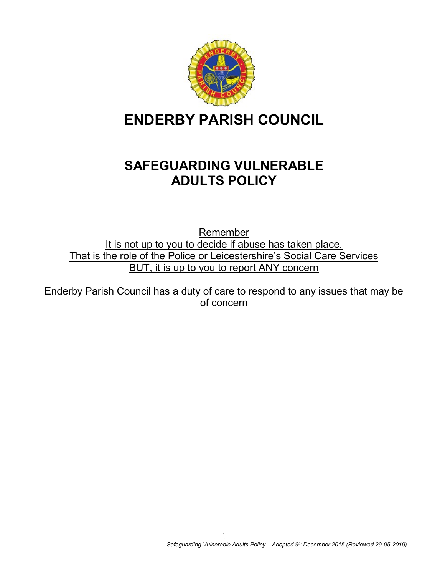

# **ENDERBY PARISH COUNCIL**

# **SAFEGUARDING VULNERABLE ADULTS POLICY**

Remember It is not up to you to decide if abuse has taken place. That is the role of the Police or Leicestershire's Social Care Services BUT, it is up to you to report ANY concern

Enderby Parish Council has a duty of care to respond to any issues that may be of concern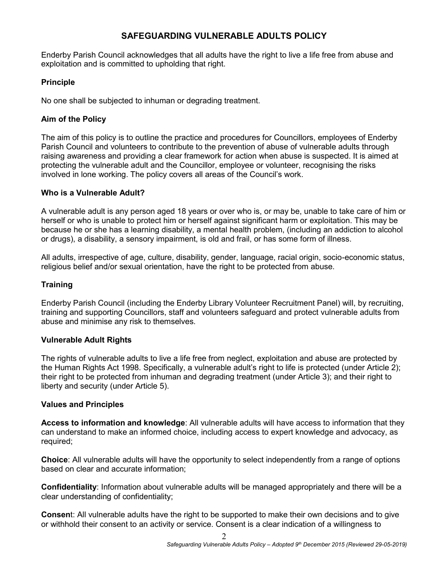#### **SAFEGUARDING VULNERABLE ADULTS POLICY**

Enderby Parish Council acknowledges that all adults have the right to live a life free from abuse and exploitation and is committed to upholding that right.

#### **Principle**

No one shall be subjected to inhuman or degrading treatment.

#### **Aim of the Policy**

The aim of this policy is to outline the practice and procedures for Councillors, employees of Enderby Parish Council and volunteers to contribute to the prevention of abuse of vulnerable adults through raising awareness and providing a clear framework for action when abuse is suspected. It is aimed at protecting the vulnerable adult and the Councillor, employee or volunteer, recognising the risks involved in lone working. The policy covers all areas of the Council's work.

#### **Who is a Vulnerable Adult?**

A vulnerable adult is any person aged 18 years or over who is, or may be, unable to take care of him or herself or who is unable to protect him or herself against significant harm or exploitation. This may be because he or she has a learning disability, a mental health problem, (including an addiction to alcohol or drugs), a disability, a sensory impairment, is old and frail, or has some form of illness.

All adults, irrespective of age, culture, disability, gender, language, racial origin, socio-economic status, religious belief and/or sexual orientation, have the right to be protected from abuse.

#### **Training**

Enderby Parish Council (including the Enderby Library Volunteer Recruitment Panel) will, by recruiting, training and supporting Councillors, staff and volunteers safeguard and protect vulnerable adults from abuse and minimise any risk to themselves.

#### **Vulnerable Adult Rights**

The rights of vulnerable adults to live a life free from neglect, exploitation and abuse are protected by the Human Rights Act 1998. Specifically, a vulnerable adult's right to life is protected (under Article 2); their right to be protected from inhuman and degrading treatment (under Article 3); and their right to liberty and security (under Article 5).

#### **Values and Principles**

**Access to information and knowledge**: All vulnerable adults will have access to information that they can understand to make an informed choice, including access to expert knowledge and advocacy, as required;

**Choice**: All vulnerable adults will have the opportunity to select independently from a range of options based on clear and accurate information;

**Confidentiality**: Information about vulnerable adults will be managed appropriately and there will be a clear understanding of confidentiality;

**Consen**t: All vulnerable adults have the right to be supported to make their own decisions and to give or withhold their consent to an activity or service. Consent is a clear indication of a willingness to

 $\mathfrak{D}$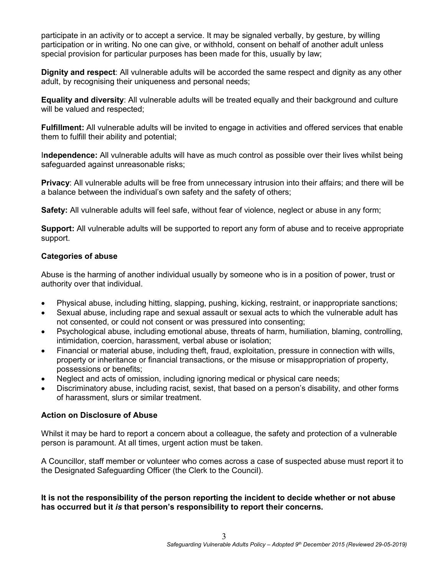participate in an activity or to accept a service. It may be signaled verbally, by gesture, by willing participation or in writing. No one can give, or withhold, consent on behalf of another adult unless special provision for particular purposes has been made for this, usually by law;

**Dignity and respect**: All vulnerable adults will be accorded the same respect and dignity as any other adult, by recognising their uniqueness and personal needs;

**Equality and diversity**: All vulnerable adults will be treated equally and their background and culture will be valued and respected;

**Fulfillment:** All vulnerable adults will be invited to engage in activities and offered services that enable them to fulfill their ability and potential;

I**ndependence:** All vulnerable adults will have as much control as possible over their lives whilst being safeguarded against unreasonable risks;

**Privacy**: All vulnerable adults will be free from unnecessary intrusion into their affairs; and there will be a balance between the individual's own safety and the safety of others;

**Safety:** All vulnerable adults will feel safe, without fear of violence, neglect or abuse in any form;

**Support:** All vulnerable adults will be supported to report any form of abuse and to receive appropriate support.

#### **Categories of abuse**

Abuse is the harming of another individual usually by someone who is in a position of power, trust or authority over that individual.

- Physical abuse, including hitting, slapping, pushing, kicking, restraint, or inappropriate sanctions;
- Sexual abuse, including rape and sexual assault or sexual acts to which the vulnerable adult has not consented, or could not consent or was pressured into consenting;
- Psychological abuse, including emotional abuse, threats of harm, humiliation, blaming, controlling, intimidation, coercion, harassment, verbal abuse or isolation;
- Financial or material abuse, including theft, fraud, exploitation, pressure in connection with wills, property or inheritance or financial transactions, or the misuse or misappropriation of property, possessions or benefits;
- Neglect and acts of omission, including ignoring medical or physical care needs;
- Discriminatory abuse, including racist, sexist, that based on a person's disability, and other forms of harassment, slurs or similar treatment.

#### **Action on Disclosure of Abuse**

Whilst it may be hard to report a concern about a colleague, the safety and protection of a vulnerable person is paramount. At all times, urgent action must be taken.

A Councillor, staff member or volunteer who comes across a case of suspected abuse must report it to the Designated Safeguarding Officer (the Clerk to the Council).

**It is not the responsibility of the person reporting the incident to decide whether or not abuse has occurred but it** *is* **that person's responsibility to report their concerns.**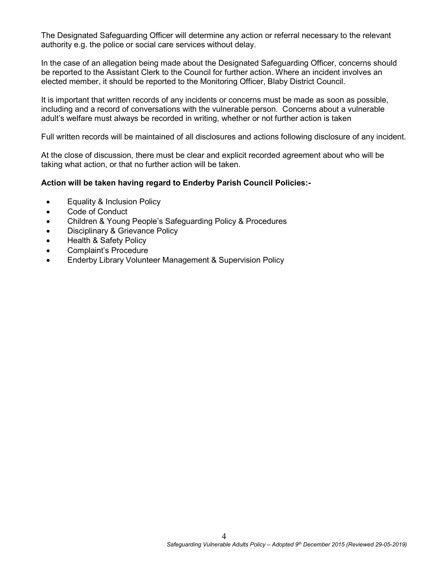The Designated Safeguarding Officer will determine any action or referral necessary to the relevant authority e.g. the police or social care services without delay.

In the case of an allegation being made about the Designated Safeguarding Officer, concerns should be reported to the Assistant Clerk to the Council for further action. Where an incident involves an elected member, it should be reported to the Monitoring Officer, Blaby District Council.

It is important that written records of any incidents or concerns must be made as soon as possible, including and a record of conversations with the vulnerable person. Concerns about a vulnerable adult's welfare must always be recorded in writing, whether or not further action is taken

Full written records will be maintained of all disclosures and actions following disclosure of any incident.

At the close of discussion, there must be clear and explicit recorded agreement about who will be taking what action, or that no further action will be taken.

#### **Action will be taken having regard to Enderby Parish Council Policies:-**

- Equality & Inclusion Policy
- Code of Conduct
- Children & Young People's Safeguarding Policy & Procedures
- Disciplinary & Grievance Policy
- Health & Safety Policy
- Complaint's Procedure
- Enderby Library Volunteer Management & Supervision Policy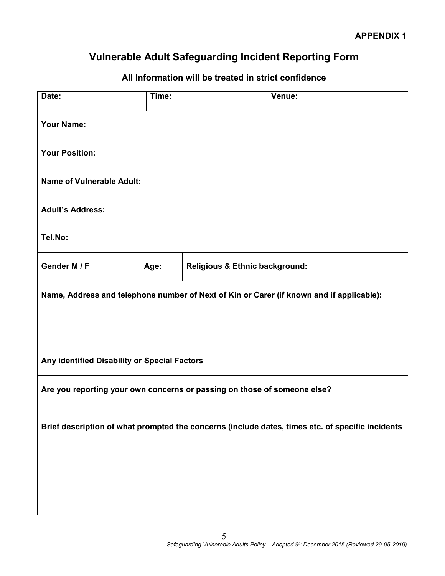## **Vulnerable Adult Safeguarding Incident Reporting Form**

### **All Information will be treated in strict confidence**

| Date:                                                                                            | Time: |                                           | Venue: |  |  |
|--------------------------------------------------------------------------------------------------|-------|-------------------------------------------|--------|--|--|
| <b>Your Name:</b>                                                                                |       |                                           |        |  |  |
| <b>Your Position:</b>                                                                            |       |                                           |        |  |  |
| <b>Name of Vulnerable Adult:</b>                                                                 |       |                                           |        |  |  |
| <b>Adult's Address:</b>                                                                          |       |                                           |        |  |  |
| Tel.No:                                                                                          |       |                                           |        |  |  |
| Gender M / F                                                                                     | Age:  | <b>Religious &amp; Ethnic background:</b> |        |  |  |
| Name, Address and telephone number of Next of Kin or Carer (if known and if applicable):         |       |                                           |        |  |  |
|                                                                                                  |       |                                           |        |  |  |
| Any identified Disability or Special Factors                                                     |       |                                           |        |  |  |
| Are you reporting your own concerns or passing on those of someone else?                         |       |                                           |        |  |  |
| Brief description of what prompted the concerns (include dates, times etc. of specific incidents |       |                                           |        |  |  |
|                                                                                                  |       |                                           |        |  |  |
|                                                                                                  |       |                                           |        |  |  |
|                                                                                                  |       |                                           |        |  |  |